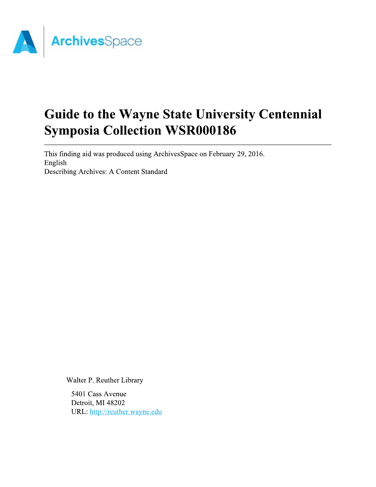

# Guide to the Wayne State University Centennial **Symposia Collection WSR000186**

This finding aid was produced using ArchivesSpace on February 29, 2016. English Describing Archives: A Content Standard

Walter P. Reuther Library

5401 Cass Avenue Detroit, MI 48202 URL: http://reuther.wayne.edu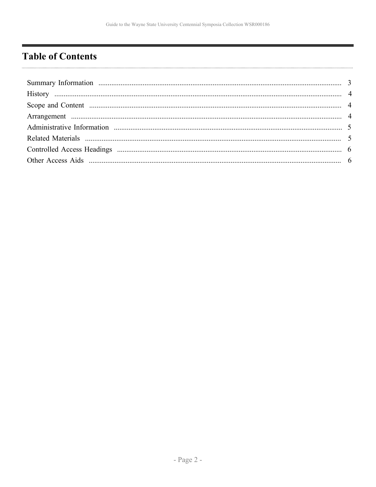# <span id="page-1-0"></span>**Table of Contents**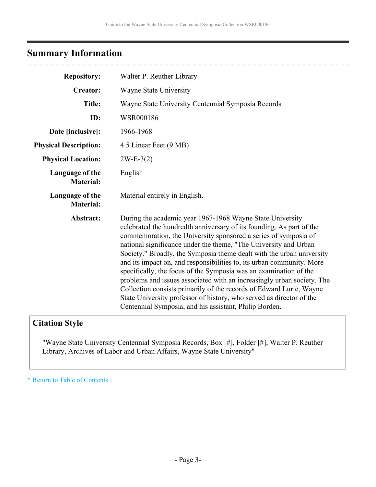# <span id="page-2-0"></span>**Summary Information**

| <b>Repository:</b>                  | Walter P. Reuther Library                                                                                                                                                                                                                                                                                                                                                                                                                                                                                                                                                                                                                                                                                                                                                          |
|-------------------------------------|------------------------------------------------------------------------------------------------------------------------------------------------------------------------------------------------------------------------------------------------------------------------------------------------------------------------------------------------------------------------------------------------------------------------------------------------------------------------------------------------------------------------------------------------------------------------------------------------------------------------------------------------------------------------------------------------------------------------------------------------------------------------------------|
| <b>Creator:</b>                     | Wayne State University                                                                                                                                                                                                                                                                                                                                                                                                                                                                                                                                                                                                                                                                                                                                                             |
| <b>Title:</b>                       | Wayne State University Centennial Symposia Records                                                                                                                                                                                                                                                                                                                                                                                                                                                                                                                                                                                                                                                                                                                                 |
| ID:                                 | WSR000186                                                                                                                                                                                                                                                                                                                                                                                                                                                                                                                                                                                                                                                                                                                                                                          |
| Date [inclusive]:                   | 1966-1968                                                                                                                                                                                                                                                                                                                                                                                                                                                                                                                                                                                                                                                                                                                                                                          |
| <b>Physical Description:</b>        | 4.5 Linear Feet (9 MB)                                                                                                                                                                                                                                                                                                                                                                                                                                                                                                                                                                                                                                                                                                                                                             |
| <b>Physical Location:</b>           | $2W-E-3(2)$                                                                                                                                                                                                                                                                                                                                                                                                                                                                                                                                                                                                                                                                                                                                                                        |
| Language of the<br><b>Material:</b> | English                                                                                                                                                                                                                                                                                                                                                                                                                                                                                                                                                                                                                                                                                                                                                                            |
| Language of the<br><b>Material:</b> | Material entirely in English.                                                                                                                                                                                                                                                                                                                                                                                                                                                                                                                                                                                                                                                                                                                                                      |
| Abstract:                           | During the academic year 1967-1968 Wayne State University<br>celebrated the hundredth anniversary of its founding. As part of the<br>commemoration, the University sponsored a series of symposia of<br>national significance under the theme, "The University and Urban<br>Society." Broadly, the Symposia theme dealt with the urban university<br>and its impact on, and responsibilities to, its urban community. More<br>specifically, the focus of the Symposia was an examination of the<br>problems and issues associated with an increasingly urban society. The<br>Collection consists primarily of the records of Edward Lurie, Wayne<br>State University professor of history, who served as director of the<br>Centennial Symposia, and his assistant, Philip Borden. |

# **Citation Style**

"Wayne State University Centennial Symposia Records, Box [#], Folder [#], Walter P. Reuther Library, Archives of Labor and Urban Affairs, Wayne State University"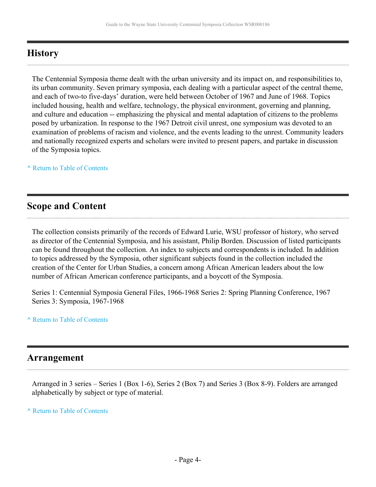# <span id="page-3-0"></span>**History**

The Centennial Symposia theme dealt with the urban university and its impact on, and responsibilities to, its urban community. Seven primary symposia, each dealing with a particular aspect of the central theme, and each of two-to five-days' duration, were held between October of 1967 and June of 1968. Topics included housing, health and welfare, technology, the physical environment, governing and planning, and culture and education -- emphasizing the physical and mental adaptation of citizens to the problems posed by urbanization. In response to the 1967 Detroit civil unrest, one symposium was devoted to an examination of problems of racism and violence, and the events leading to the unrest. Community leaders and nationally recognized experts and scholars were invited to present papers, and partake in discussion of the Symposia topics.

**^** [Return to Table of Contents](#page-1-0)

# <span id="page-3-1"></span>**Scope and Content**

The collection consists primarily of the records of Edward Lurie, WSU professor of history, who served as director of the Centennial Symposia, and his assistant, Philip Borden. Discussion of listed participants can be found throughout the collection. An index to subjects and correspondents is included. In addition to topics addressed by the Symposia, other significant subjects found in the collection included the creation of the Center for Urban Studies, a concern among African American leaders about the low number of African American conference participants, and a boycott of the Symposia.

Series 1: Centennial Symposia General Files, 1966-1968 Series 2: Spring Planning Conference, 1967 Series 3: Symposia, 1967-1968

### **^** [Return to Table of Contents](#page-1-0)

## <span id="page-3-2"></span>**Arrangement**

Arranged in 3 series – Series 1 (Box 1-6), Series 2 (Box 7) and Series 3 (Box 8-9). Folders are arranged alphabetically by subject or type of material.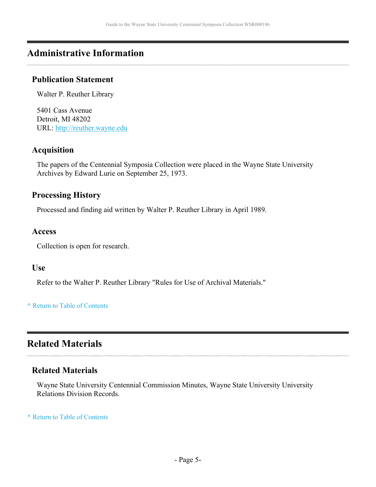# <span id="page-4-0"></span>**Administrative Information**

### **Publication Statement**

Walter P. Reuther Library

5401 Cass Avenue Detroit, MI 48202 URL:<http://reuther.wayne.edu>

### **Acquisition**

The papers of the Centennial Symposia Collection were placed in the Wayne State University Archives by Edward Lurie on September 25, 1973.

### **Processing History**

Processed and finding aid written by Walter P. Reuther Library in April 1989.

### **Access**

Collection is open for research.

### **Use**

Refer to the Walter P. Reuther Library "Rules for Use of Archival Materials."

**^** [Return to Table of Contents](#page-1-0)

# <span id="page-4-1"></span>**Related Materials**

### **Related Materials**

Wayne State University Centennial Commission Minutes, Wayne State University University Relations Division Records.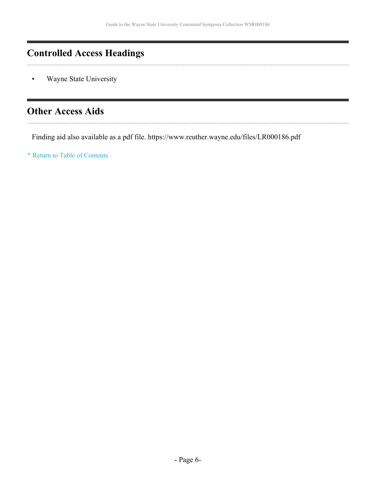# <span id="page-5-0"></span>**Controlled Access Headings**

Wayne State University

# <span id="page-5-1"></span>**Other Access Aids**

Finding aid also available as a pdf file. https://www.reuther.wayne.edu/files/LR000186.pdf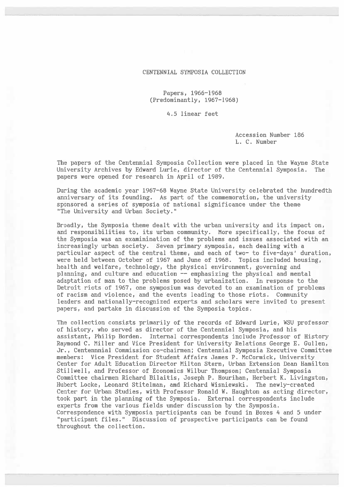#### CENTENNIAL SYMPOSIA COLLECTION

Papers, 1966-1968 (Predominantly, 1967-1968)

4.5 linear feet

Accession Number 186 L. C. Number

The papers of the Centennial Symposia Collection were placed in the Wayne State University Archives by Edward Lurie, director of the Centennial Symposia. The papers were opened for research in April of 1989.

During the academic year 1967-68 Wayne State University celebrated the hundredth anniversary of its founding. As part of the commemoration, the university sponsored a series of symposia of national significance under the theme "The University and Urban Society."

Broadly, the Symposia theme dealt with the urban university and its impact on, and responsibilities to, its urban community. More specifically, the focus of the Symposia was an examinination of the problems and issues associated with an increasingly urban society. Seven primary symposia, each dealing with a particular aspect of the central theme, and each of two- to five-days' duration, were held between October of 1967 and June of 1968. Topics included housing, health and welfare, technology, the physical environment, governing and planning, and culture and education -- emphasizing the physical and mental adaptation of man to the problems posed by urbanization. In response to the Detroit riots of 1967, one symposium was devoted to an examination of problems of racism and violence, and the events leading to those riots. Community leaders and nationally-recognized experts and scholars were invited to present papers, and partake in discussion of the Symposia topics.

The collection consists primarily of the records of Edward Lurie, WSU professor of history, who served as director of the Centennial Symposia, and his assistant, Philip Borden. Internal correspondents include Professor of History Raymond C. Miller and Vice President for University Relations George E. Gullen, Jr., Centennnial Commission co-chairmen; Centennial Symposia Executive Committee members: Vice President for Student Affairs James P. McCormick, University Center for Adult Education Director Milton Stern, Urban Extension Dean Hamilton Stillwell, and Professor of Economics Wilbur Thompson; Centennial Symposia Committee chairmen Richard Bilaitis, Joseph P. Hourihan, Herbert K. Livingston, Hubert Locke, Leonard Stitelman, amd Richard Wisniewski. The newly-created Center for Urban Studies, with Professor Ronald W. Haughton as acting director, took part in the planning of the Symposia. External correspondents include experts from the various fields under discussion by the Symposia. Correspondence with Symposia participants can be found in Boxes 4 and 5 under "participant files." Discussion of prospective participants can be found throughout the collection.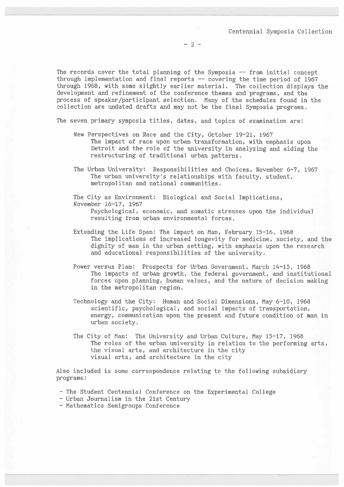$-2-$ 

The records cover the total planning of the Symposia -- from initial concept through implementation and final reports -- covering the time period of 1967 through 1968, with some slightly earlier material. The collection displays the development and refinement of the conference themes and programs, and the process of speaker/participant selection. Many of the schedules found in the collection are undated drafts and may not be the final Symposia programs.

The seven primary symposia titles, dates, and topics of examination are:

- New Perspectives on Race and the City, October 19-21, 1967 The impact of race upon urban transformation, with emphasis upon Detroit and the role of the university in analyzing and aiding the restructuring of traditional urban patterns.
- The Urban University: Responsibilities and Choices, November 6-7, 1967 The urban university's relationships with faculty, student, metropolitan and national communities.

The City as Environment: Biological and Social Implications, November 16-17, 1967 Psychological, economic, and somatic stresses upon the individual

resulting from urban environmental forces.

- Extending the Life Span: The Impact on Man, February 15-16, 1968 The implications of increased longevity for medicine, society, and the dignity of man in the urban setting, with emphasis upon the research and educational responsibilities of the university.
- Power versus Plan: Prospects for Urban Government, March 14-15, 1968 The impacts of urban growth, the federal government, and institutional forces upon planning, human values, and the nature of decision making in the metropolitan region.
- Technology and the City: Human and Social Dimensions, May 6-10, 1968 scientific, psychological, and social impacts of transportation, energy, communication upon the present and future condition of man in urban society.
- The City of Man: The University and Urban Culture, May 15-17, 1968 The roles of the urban university in relation to the performing arts, the visual arts, and architecture in the city visual arts, and architecture in the city

Also included is some correspondence relating to the following subsidiary programs:

- The Student Centennial Conference on the Experimental College
- Urban Journalism in the 21st Century
- Mathematics Semigroups Conference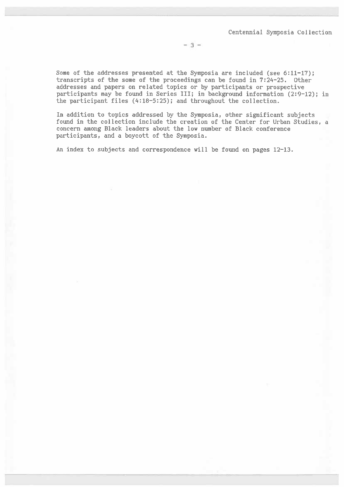$-3-$ 

Some of the addresses presented at the Symposia are included (see 6:11-17); transcripts of the some of the proceedings can be found in 7:24-25. Other addresses and papers on related topics or by participants or prospective participants may be found in Series III; in background information (2:9-12); in the participant files (4:18-5:25); and throughout the collection.

In addition to topics addressed by the Symposia, other significant subjects found in the collection include the creation of the Center for Urban Studies, a concern among Black leaders about the low number of Black conference participants, and a boycott of the Symposia.

An index to subjects and correspondence will be found on pages 12-13.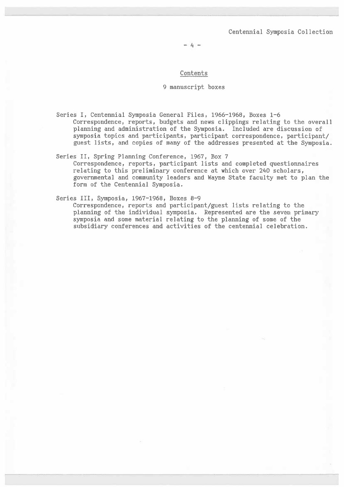$-4-$ 

#### Contents

#### 9 manuscript boxes

Series I, Centennial Symposia General Files, 1966-1968, Boxes 1-6 Correspondence, reports, budgets and news clippings relating to the overall planning and administration of the Symposia. Included are discussion of symposia topics and participants, participant correspondence, participant/ guest lists, and copies of many of the addresses presented at the Symposia.

#### Series II, Spring Planning Conference, 1967, Box 7 Correspondence, reports, participant lists and completed questionnaires relating to this preliminary conference at which over 240 scholars, governmental and community leaders and Wayne State faculty met to plan the form of the Centennial Symposia.

#### Series III, Symposia, 1967-1968, Boxes 8-9

Correspondence, reports and participant/guest lists relating to the planning of the individual symposia. Represented are the seven primary symposia and some material relating to the planning of some of the subsidiary conferences and activities of the centennial celebration.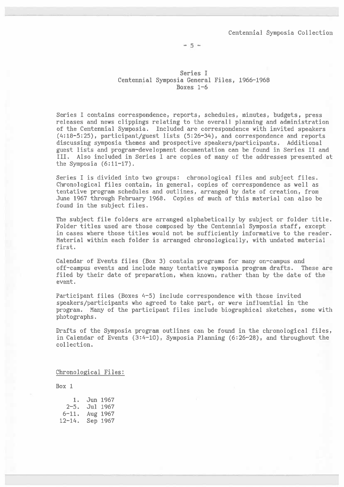$-5 -$ 

Series I Centennial Symposia General Files, 1966-1968 Boxes  $1-6$ 

Series I contains correspondence, reports, schedules, minutes, budgets, press releases and news clippings relating to the overall planning and administration of the Centennial Symposia. Included are correspondence with invited speakers (4:18-5:25), participant/guest lists (5:26-34), and correspondence and reports discussing symposia themes and prospective speakers/participants. Additional guest lists and program-development documentation can be found in Series II and III. Also included in Series I are copies of many of the addresses presented at the Symposia  $(6:11-17)$ .

Series I is divided into two groups: chronological files and subject files. Chronological files contain, in general, copies of correspondence as well as tentative program schedules and outlines, arranged by date of creation, from June 1967 through February 1968. Copies of much of this material can also be found in the subject files.

The subject file folders are arranged alphabetically by subject or folder title. Folder titles used are those composed by the Centennial Symposia staff, except in cases where those titles would not be sufficiently informative to the reader. Material within each folder is arranged chronologically, with undated material first.

Calendar of Events files (Box 3) contain programs for many on-campus and off-campus events and include many tentative symposia program drafts. These are filed by their date of preparation, when known, rather than by the date of the event.

Participant files (Boxes 4-5) include correspondence with those invited speakers/participants who agreed to take part, or were influential in the program. Many of the participant files include biographical sketches, some with photographs.

Drafts of the Symposia program outlines can be found in the chronological files, in Calendar of Events (3:4-10), Symposia Planning (6:26-28), and throughout the collection.

#### Chronological Files:

| 1.         | Jun 1967 |
|------------|----------|
| 2-5.       | Jul 1967 |
| $6 - 11.$  | Aug 1967 |
| $12 - 14.$ | Sep 1967 |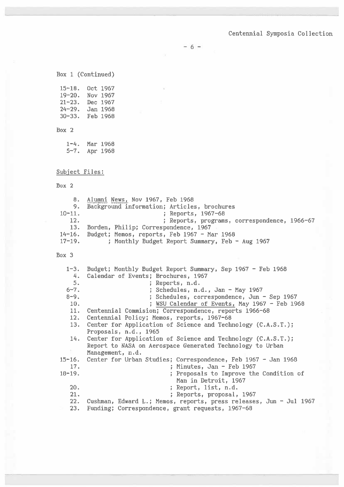$-6 -$ 

Box 1 (Continued)

15-18. Oct 1967 19-20. Nov 1967 21-23. Dec 1967  $24-29.$  Jan 1968 30-33. Feb 1968

#### Box 2

| $1 - 4$ . | Mar 1968 |
|-----------|----------|
| $5 - 7$ . | Apr 1968 |

### Subject Files:

#### Box 2

|             | 8. Alumni News, Nov 1967, Feb 1968                 |
|-------------|----------------------------------------------------|
|             | 9. Background information; Articles, brochures     |
| $10 - 11$ . | ; Reports, 1967-68                                 |
| 12.         | ; Reports, programs, correspondence, 1966-67       |
| 13.         | Borden, Philip; Correspondence, 1967               |
|             | 14-16. Budget; Memos, reports, Feb 1967 - Mar 1968 |
| $17-19.$    | ; Monthly Budget Report Summary, Feb - Aug 1967    |

|          | 1-3. Budget; Monthly Budget Report Summary, Sep 1967 - Feb 1968      |
|----------|----------------------------------------------------------------------|
| 4.       | Calendar of Events; Brochures, 1967                                  |
| 5.       | ; Reports, n.d.                                                      |
| $6 - 7.$ | ; Schedules, n.d., Jan - May 1967                                    |
| $8 - 9.$ | ; Schedules, correspondence, Jun - Sep 1967                          |
| 10.      | WSU Calendar of Events, May $1967 -$ Feb $1968$                      |
| 11.      | Centennial Commision; Correspondence, reports 1966-68                |
| 12.      | Centennial Policy; Memos, reports, 1967-68                           |
| 13.      | Center for Application of Science and Technology (C.A.S.T.);         |
|          | Proposals, n.d., 1965                                                |
| 14.      | Center for Application of Science and Technology (C.A.S.T.);         |
|          | Report to NASA on Aerospace Generated Technology to Urban            |
|          | Management, n.d.                                                     |
|          | 15-16. Center for Urban Studies; Correspondence, Feb 1967 - Jan 1968 |
| 17.      | ; Minutes, Jan - Feb 1967                                            |
| 18–19.   | ; Proposals to Improve the Condition of                              |
|          | Man in Detroit, 1967                                                 |
| 20.      | ; Report, list, n.d.                                                 |
| 21.      | ; Reports, proposal, 1967                                            |
| 22.      | Cushman, Edward L.; Memos, reports, press releases, Jun - Jul 1967   |
| 23.      | Funding; Correspondence, grant requests, 1967-68                     |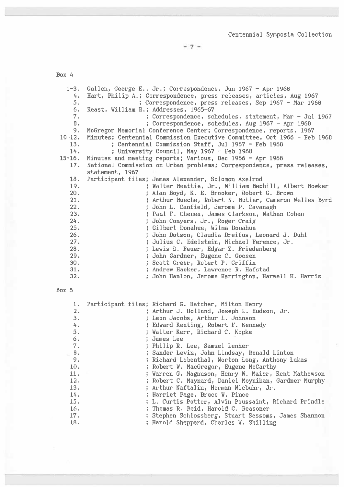7

| $1 - 3$ . | Gullen, George E., Jr.; Correspondence, Jun 1967 - Apr 1968             |
|-----------|-------------------------------------------------------------------------|
| 4.        | Hart, Philip A.; Correspondence, press releases, articles, Aug 1967     |
| 5.        | ; Correspondence, press releases, Sep 1967 - Mar 1968                   |
| 6.        | Keast, William R.; Addresses, 1965-67                                   |
| 7.        | ; Correspondence, schedules, statement, Mar - Jul 1967                  |
| 8.        | ; Correspondence, schedules, Aug $1967 -$ Apr $1968$                    |
| 9.        | McGregor Memorial Conference Center; Correspondence, reports, 1967      |
| $10-12.$  | Minutes; Centennial Commission Executive Committee, Oct 1966 - Feb 1968 |
| 13.       | ; Centennial Commission Staff, Jul 1967 - Feb 1968                      |
| 14.       | ; University Council, May 1967 - Feb 1968                               |
|           | 15-16. Minutes and meeting reports; Various, Dec 1966 - Apr 1968        |
| 17.       | National Commission on Urban problems; Correspondence, press releases,  |
|           | statement, 1967                                                         |
| 18.       | Participant files; James Alexander, Solomon Axelrod                     |
| 19.       | ; Walter Beattie, Jr., William Bechill, Albert Bowker                   |
| 20.       | Alan Boyd, K. E. Brooker, Robert G. Brown                               |
| 21.       | ; Arthur Bueche, Robert N. Butler, Cameron Welles Byrd                  |
| 22.       | ; John L. Canfield, Jerome P. Cavanagh                                  |
| 23.       | ; Paul F. Chenea, James Clarkson, Nathan Cohen                          |
| 24.       | John Conyers, Jr., Roger Craig                                          |
| 25.       | ; Gilbert Donahue, Wilma Donahue                                        |
| 26.       | ; John Dotson, Claudia Dreifus, Leonard J. Duhl                         |
| 27.       | ; Julius C. Edelstein, Michael Ference, Jr.                             |
| 28.       | ; Lewis D. Feuer, Edgar Z. Friedenberg                                  |
| 29.       | ; John Gardner, Eugene C. Goosen                                        |
| 30.       | ; Scott Greer, Robert P. Griffin                                        |
| 31.       | ; Andrew Hacker, Lawrence R. Hafstad                                    |
| 32.       | ; John Hanlon, Jerome Harrington, Harwell H. Harris                     |
|           |                                                                         |

| 1.<br>2.<br>3.<br>4.<br>5. |  | Participant files; Richard G. Hatcher, Milton Henry<br>; Arthur J. Holland, Joseph L. Hudson, Jr.<br>; Leon Jacobs, Arthur L. Johnson<br>; Edward Keating, Robert F. Kennedy<br>; Walter Kerr, Richard C. Kopke |
|----------------------------|--|-----------------------------------------------------------------------------------------------------------------------------------------------------------------------------------------------------------------|
| 6.<br>7.                   |  | : James Lee                                                                                                                                                                                                     |
|                            |  | ; Philip R. Lee, Samuel Lenher                                                                                                                                                                                  |
| 8.                         |  | ; Sander Levin, John Lindsay, Ronald Linton                                                                                                                                                                     |
| 9.                         |  | ; Richard Lobenthal, Norton Long, Anthony Lukas                                                                                                                                                                 |
| 10.                        |  | ; Robert W. MacGregor, Eugene McCarthy                                                                                                                                                                          |
| 11.                        |  | ; Warren G. Magnuson, Henry W. Maier, Kent Mathewson                                                                                                                                                            |
| 12.                        |  | ; Robert C. Maynard, Daniel Moynihan, Gardner Murphy                                                                                                                                                            |
| 13.                        |  | Arthur Naftalin, Herman Niebuhr, Jr.                                                                                                                                                                            |
| 14.                        |  | ; Harriet Page, Bruce W. Pince                                                                                                                                                                                  |
| 15.                        |  | ; L. Curtis Potter, Alvin Poussaint, Richard Prindle                                                                                                                                                            |
| 16.                        |  | ; Thomas R. Reid, Harold C. Reasoner                                                                                                                                                                            |
| 17.                        |  | ; Stephen Schlossberg, Stuart Sessoms, James Shannon                                                                                                                                                            |
| 18.                        |  | ; Harold Sheppard, Charles W. Shilling                                                                                                                                                                          |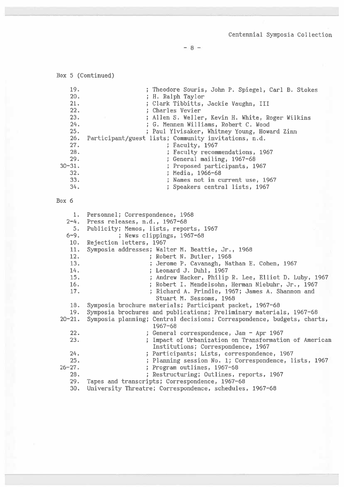```
Centennial Symposia Collection
```
 $-8-$ 

Box 5 (Continued) 19. ; Theodore Souris, John P. Spiegel, Carl B. Stokes  $20.$ ; H. Ralph Taylor  $21.$ ; Clark Tibbitts, Jackie Vaughn, III 22. ; Charles Vevier 23. ; Allen S. Weller, Kevin H. White, Roger Wilkins  $24.$ ; G. Mennen Williams, Robert C. Wood 25. ; Paul Ylvisaker, Whitney Young, Howard Zinn  $26.$ Participant/guest lists; Community invitations, n.d.  $27.$ ; Faculty, 1967 28. ; Faculty recommendations, 1967 29. General mailing, 1967-68  $30 - 31.$ ; Proposed participants, 1967  $32.$ ; Media, 1966-68 33. ; Names not in current use, 1967 34. ; Speakers central lists, 1967 Box 6 Personnel; Correspondence, 1968  $1<sub>1</sub>$  $2 - 4.$ Press releases, n.d., 1967-68  $5.$ Publicity; Memos, lists, reports, 1967 ; News clippings, 1967-68  $6 - 9.$  $10.$ Rejection letters, 1967 11. Symposia addresses; Walter M. Beattie, Jr., 1968 12. ; Robert N. Butler, 1968 13. ; Jerome P. Cavanagh, Nathan E. Cohen, 1967 14. ; Leonard J. Duhl, 1967 15. ; Andrew Hacker, Philip R. Lee, Elliot D. Luby, 1967  $16.$ ; Robert I. Mendelsohn, Herman Niebuhr, Jr., 1967 17. ; Richard A. Prindle, 1967; James A. Shannon and Stuart M. Sessoms, 1968 18. Symposia brochure materials; Participant packet, 1967-68 19. Symposia brochures and publications; Preliminary materials, 1967-68  $20 - 21.$ Symposia planning; Central decisions; Correspondence, budgets, charts, 1967-68  $22.$ ; General correspondence, Jan - Apr 1967 23. ; Impact of Urbanization on Transformation of American Institutions; Correspondence, 1967  $24.$ ; Participants; Lists, correspondence, 1967 25. ; Planning session No. 1; Correspondence, lists, 1967  $26 - 27.$ ; Program outlines, 1967-68 28. ; Restructuring; Outlines, reports, 1967  $29.$ Tapes and transcripts; Correspondence, 1967-68 University Threatre; Correspondence, schedules, 1967-68 30.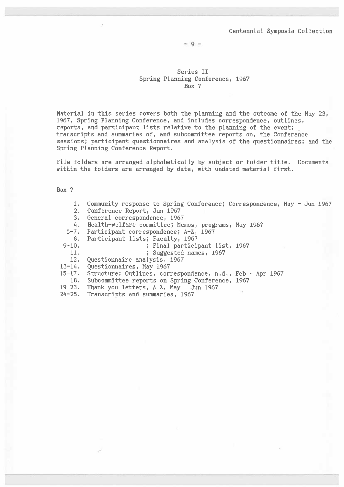$-9 -$ 

#### Series II Spring Planning Conference, 1967 Box 7

Material in this series covers both the planning and the outcome of the May 23, 1967, Spring Planning Conference, and includes correspondence, outlines, reports, and participant lists relative to the planning of the event; transcripts and summaries of, and subcommittee reports on, the Conference sessions; participant questionnaires and analysis of the questionnaires; and the Spring Planning Conference Report.

File folders are arranged alphabetically by subject or folder title. Documents within the folders are arranged by date, with undated material first.

|           | Community response to Spring Conference; Correspondence, May - Jun 1967 |
|-----------|-------------------------------------------------------------------------|
| 2.        | Conference Report, Jun 1967                                             |
| 3.        | General correspondence, 1967                                            |
| 4.        | Health-welfare committee; Memos, programs, May 1967                     |
|           | 5-7. Participant correspondence; A-Z, 1967                              |
| 8.        | Participant lists; Faculty, 1967                                        |
| $9 - 10.$ | ; Final participant list, 1967                                          |
| 11.       | ; Suggested names, 1967                                                 |
| 12.       | Questionnaire analysis, 1967                                            |
| 13-14.    | Questionnaires, May 1967                                                |
| 15–17.    | Structure; Outlines, correspondence, n.d., Feb - Apr 1967               |
| 18.       | Subcommittee reports on Spring Conference, 1967                         |
| 19–23.    | Thank-you letters, A-Z, May - Jun 1967                                  |
| 24-25. .  | Transcripts and summaries, 1967                                         |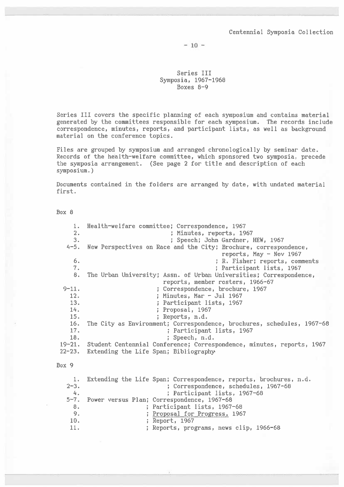$-10 -$ 

Series III Symposia, 1967-1968 Boxes  $8-9$ 

Series III covers the specific planning of each symposium and contains material generated by the committees responsible for each symposium. The records include correspondence, minutes, reports, and participant lists, as well as background material on the conference topics.

Files are grouped by symposium and arranged chronologically by seminar date. Records of the health-welfare committee, which sponsored two symposia, precede the symposia arrangement. (See page 2 for title and description of each symposium.)

Documents contained in the folders are arranged by date, with undated material first.

Box 8

Health-welfare committee; Correspondence, 1967  $1.$  $2.$ ; Minutes, reports, 1967  $3.$ ; Speech; John Gardner, HEW, 1967  $4 - 5.$ New Perspectives on Race and the City; Brochure, correspondence, reports, May  $-$  Nov 1967  $6.$ ; R. Fisher; reports, comments  $7.$ ; Participant lists, 1967 The Urban University; Assn. of Urban Universities; Correspondence,  $8.$ reports, member rosters, 1966-67  $9 - 11.$ ; Correspondence, brochure, 1967  $12.$ ; Minutes, Mar - Jul 1967  $13.$ ; Participant lists, 1967 14. ; Proposal, 1967 15. ; Reports, n.d. The City as Environment; Correspondence, brochures, schedules, 1967-68  $16.$ 17. ; Participant lists, 1967 18. ; Speech, n.d.  $19 - 21.$ Student Centennial Conference; Correspondence, minutes, reports, 1967  $22 - 23.$ Extending the Life Span; Bibliography Box 9 Extending the Life Span; Correspondence, reports, brochures, n.d. 1. ; Correspondence, schedules, 1967-68  $2 - 3$ .  $4\,$ ; Participant lists, 1967-68 Power versus Plan; Correspondence, 1967-68  $5 - 7$ .  $8.$ ; Participant lists, 1967-68 9. ; Proposal for Progress, 1967 ; Report, 1967 10.  $11.$ ; Reports, programs, news clip, 1966-68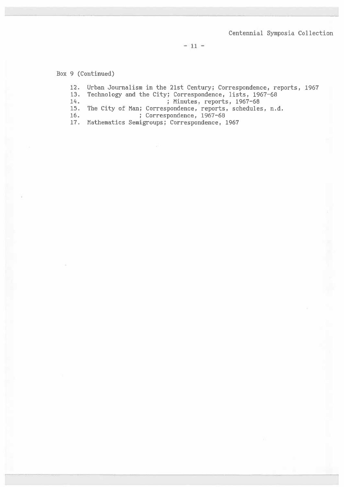$-11 -$ 

Box 9 (Continued)

 $12.$ Urban Journalism in the 21st Century; Correspondence, reports, 1967 13. Technology and the City; Correspondence, lists, 1967-68  $14.$ ; Minutes, reports, 1967-68  $15.$ The City of Man; Correspondence, reports, schedules, n.d. 16. ; Correspondence, 1967-68  $17. \,$ Mathematics Semigroups; Correspondence, 1967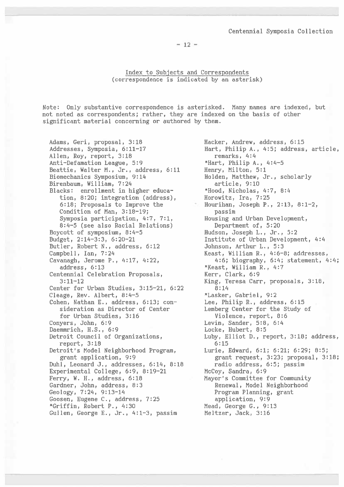$-12 -$ 

Index to Subjects and Correspondents (correspondence is indicated by an asterisk)

Note: Only substantive correspondence is asterisked. Many names are indexed, but not noted as correspondents; rather, they are indexed on the basis of other significant material concerning or authored by them.

Adams, Geri, proposal, 3:18 Addresses, Symposia, 6:11-17 Allen, Roy, report, 3:18 Anti-Defamation League, 5:9 Beattie, Walter M., Jr., address, 6:11 Biomechanics Symposium, 9:14 Birenbaum, William, 7:24 Blacks: enrollment in higher education, 8:20; integration (address), 6:18; Proposals to Improve the Condition of Man, 3:18-19; Symposia participation, 4:7, 7:1, 8:4-5 (see also Racial Relations) Boycott of symposium, 8:4-5 Budget, 2:14-3:3, 6:20-21 Butler, Robert N., address, 6:12 Campbell, Ian, 7:24 Cavanagh, Jerome P., 4:17, 4:22, address, 6:13 Centennial Celebration Proposals,  $3:11 - 12$ Center for Urban Studies, 3:15-21, 6:22 Cleage, Rev. Albert, 8:4-5 Cohen, Nathan E., address, 6:13; consideration as Director of Center for Urban Studies, 3:16 Conyers, John, 6:9 Daemmrich, H.S., 6:9 Detroit Council of Organizations, report, 3:18 Detroit's Model Neighborhood Program, grant application, 9:9 Duhl, Leonard J., addresses, 6:14, 8:18 Experimental College, 6:9, 8:19-21 Ferry, W. H., address, 6:18 Gardner, John, address, 8:3 Geology, 7:24, 9:13-14 Goosen, Eugene C., address, 7:25 \*Griffin, Robert P., 4:30 Gullen, George E., Jr., 4:1-3, passim

Hacker, Andrew, address, 6:15 Hart, Philip A., 4:5; address, article, remarks, 4:4 \*Hart, Philip A., 4:4-5 Henry, Milton, 5:1 Holden, Matthew, Jr., scholarly article, 9:10 \*Hood, Nicholas, 4:7, 8:4 Horowitz, Ira, 7:25 Hourihan, Joseph P., 2:13, 8:1-2, passim Housing and Urban Development, Department of, 5:20 Hudson, Joseph L., Jr., 5:2 Institute of Urban Development, 4:4 Johnson, Arthur L., 5:3 Keast, William R., 4:6-8; addresses, 4:6; biography, 6:4; statement, 4:4; \*Keast, William R., 4:7 Kerr, Clark, 6:9 King, Teresa Carr, proposals, 3:18,  $8:14$ \*Lasker, Gabriel, 9:2 Lee, Philip R., address, 6:15 Lemberg Center for the Study of Violence, report, 8:6 Levin, Sander, 5:8, 6:4 Locke, Hubert, 8:5 Luby, Elliot D., report, 3:18; address,  $6:15$ Lurie, Edward, 6:1; 6:21; 6:29; 8:5; grant request, 3:23; proposal, 3:18; radio address, 6:5; passim McCoy, Sandra, 6:9 Mayor's Committee for Community Renewal, Model Neighborhood Program Planning, grant application, 9:9 Mead, George G., 9:13 Meltzer, Jack, 3:16